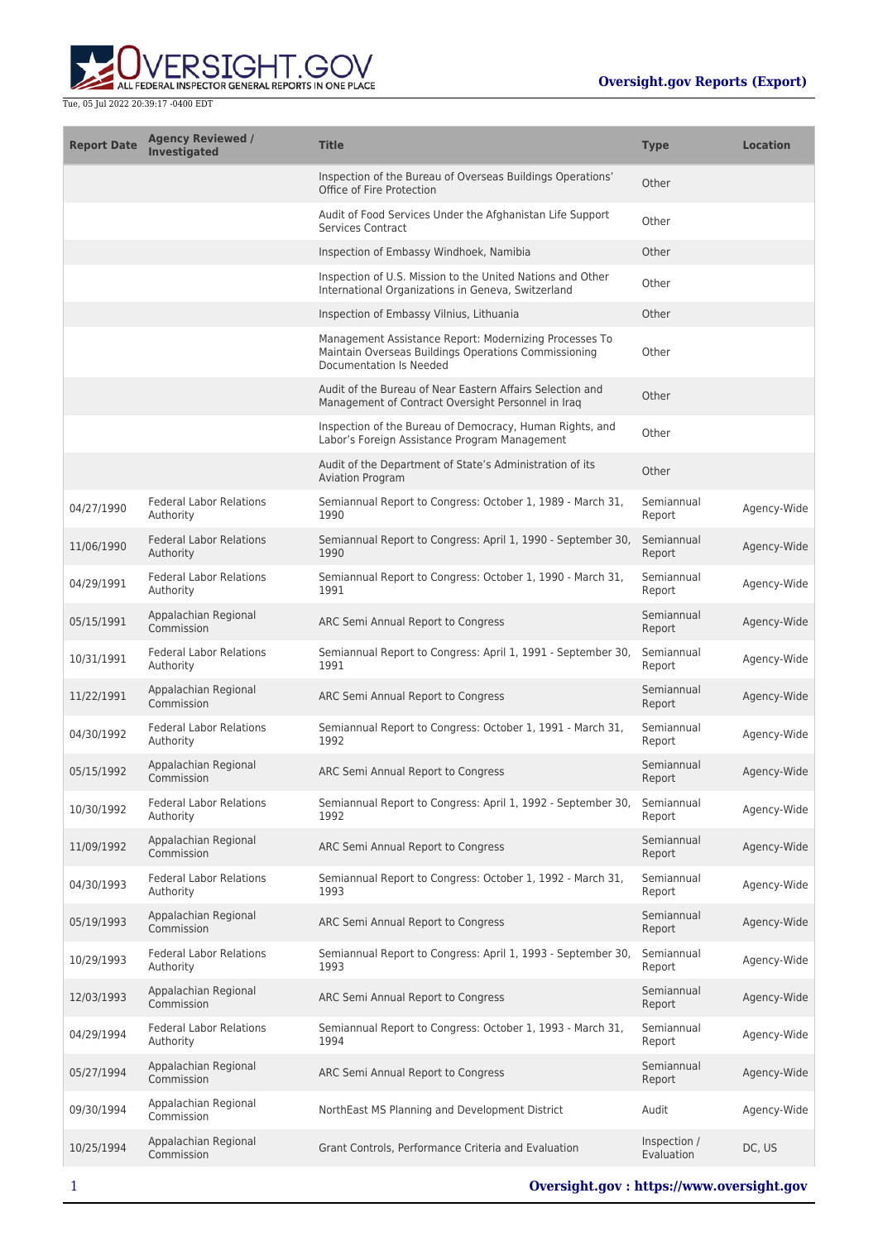

| <b>Report Date</b> | <b>Agency Reviewed /</b><br><b>Investigated</b> | <b>Title</b>                                                                                                                              | <b>Type</b>                | <b>Location</b> |
|--------------------|-------------------------------------------------|-------------------------------------------------------------------------------------------------------------------------------------------|----------------------------|-----------------|
|                    |                                                 | Inspection of the Bureau of Overseas Buildings Operations'<br>Office of Fire Protection                                                   | Other                      |                 |
|                    |                                                 | Audit of Food Services Under the Afghanistan Life Support<br><b>Services Contract</b>                                                     | Other                      |                 |
|                    |                                                 | Inspection of Embassy Windhoek, Namibia                                                                                                   | Other                      |                 |
|                    |                                                 | Inspection of U.S. Mission to the United Nations and Other<br>International Organizations in Geneva, Switzerland                          | Other                      |                 |
|                    |                                                 | Inspection of Embassy Vilnius, Lithuania                                                                                                  | Other                      |                 |
|                    |                                                 | Management Assistance Report: Modernizing Processes To<br>Maintain Overseas Buildings Operations Commissioning<br>Documentation Is Needed | Other                      |                 |
|                    |                                                 | Audit of the Bureau of Near Eastern Affairs Selection and<br>Management of Contract Oversight Personnel in Iraq                           | Other                      |                 |
|                    |                                                 | Inspection of the Bureau of Democracy, Human Rights, and<br>Labor's Foreign Assistance Program Management                                 | Other                      |                 |
|                    |                                                 | Audit of the Department of State's Administration of its<br><b>Aviation Program</b>                                                       | Other                      |                 |
| 04/27/1990         | <b>Federal Labor Relations</b><br>Authority     | Semiannual Report to Congress: October 1, 1989 - March 31,<br>1990                                                                        | Semiannual<br>Report       | Agency-Wide     |
| 11/06/1990         | <b>Federal Labor Relations</b><br>Authority     | Semiannual Report to Congress: April 1, 1990 - September 30,<br>1990                                                                      | Semiannual<br>Report       | Agency-Wide     |
| 04/29/1991         | <b>Federal Labor Relations</b><br>Authority     | Semiannual Report to Congress: October 1, 1990 - March 31,<br>1991                                                                        | Semiannual<br>Report       | Agency-Wide     |
| 05/15/1991         | Appalachian Regional<br>Commission              | ARC Semi Annual Report to Congress                                                                                                        | Semiannual<br>Report       | Agency-Wide     |
| 10/31/1991         | <b>Federal Labor Relations</b><br>Authority     | Semiannual Report to Congress: April 1, 1991 - September 30,<br>1991                                                                      | Semiannual<br>Report       | Agency-Wide     |
| 11/22/1991         | Appalachian Regional<br>Commission              | ARC Semi Annual Report to Congress                                                                                                        | Semiannual<br>Report       | Agency-Wide     |
| 04/30/1992         | <b>Federal Labor Relations</b><br>Authority     | Semiannual Report to Congress: October 1, 1991 - March 31,<br>1992                                                                        | Semiannual<br>Report       | Agency-Wide     |
| 05/15/1992         | Appalachian Regional<br>Commission              | ARC Semi Annual Report to Congress                                                                                                        | Semiannual<br>Report       | Agency-Wide     |
| 10/30/1992         | <b>Federal Labor Relations</b><br>Authority     | Semiannual Report to Congress: April 1, 1992 - September 30,<br>1992                                                                      | Semiannual<br>Report       | Agency-Wide     |
| 11/09/1992         | Appalachian Regional<br>Commission              | ARC Semi Annual Report to Congress                                                                                                        | Semiannual<br>Report       | Agency-Wide     |
| 04/30/1993         | <b>Federal Labor Relations</b><br>Authority     | Semiannual Report to Congress: October 1, 1992 - March 31,<br>1993                                                                        | Semiannual<br>Report       | Agency-Wide     |
| 05/19/1993         | Appalachian Regional<br>Commission              | ARC Semi Annual Report to Congress                                                                                                        | Semiannual<br>Report       | Agency-Wide     |
| 10/29/1993         | <b>Federal Labor Relations</b><br>Authority     | Semiannual Report to Congress: April 1, 1993 - September 30,<br>1993                                                                      | Semiannual<br>Report       | Agency-Wide     |
| 12/03/1993         | Appalachian Regional<br>Commission              | ARC Semi Annual Report to Congress                                                                                                        | Semiannual<br>Report       | Agency-Wide     |
| 04/29/1994         | <b>Federal Labor Relations</b><br>Authority     | Semiannual Report to Congress: October 1, 1993 - March 31,<br>1994                                                                        | Semiannual<br>Report       | Agency-Wide     |
| 05/27/1994         | Appalachian Regional<br>Commission              | ARC Semi Annual Report to Congress                                                                                                        | Semiannual<br>Report       | Agency-Wide     |
| 09/30/1994         | Appalachian Regional<br>Commission              | NorthEast MS Planning and Development District                                                                                            | Audit                      | Agency-Wide     |
| 10/25/1994         | Appalachian Regional<br>Commission              | Grant Controls, Performance Criteria and Evaluation                                                                                       | Inspection /<br>Evaluation | DC, US          |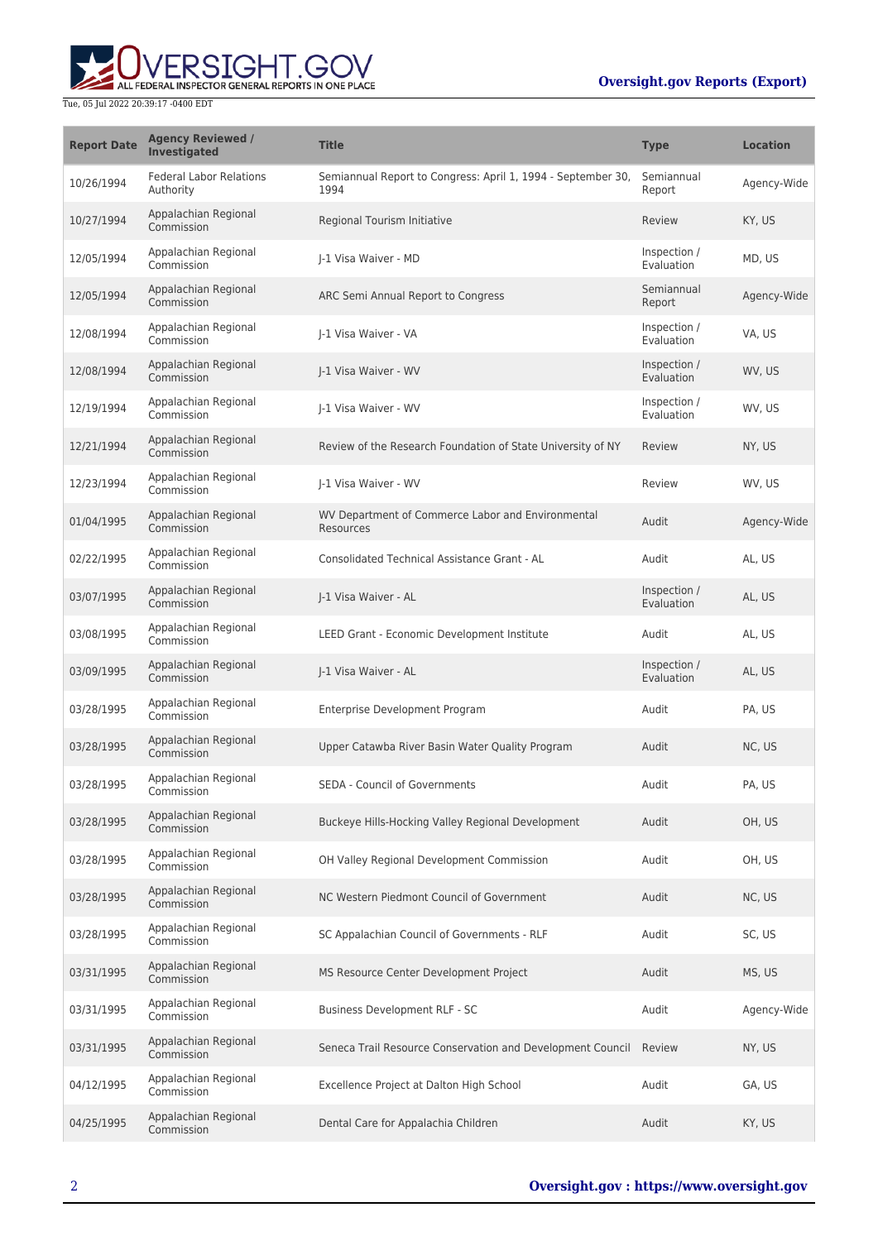## **Oversight.gov Reports (Export)**



| <b>Report Date</b> | <b>Agency Reviewed /</b><br><b>Investigated</b> | <b>Title</b>                                                         | <b>Type</b>                | <b>Location</b> |
|--------------------|-------------------------------------------------|----------------------------------------------------------------------|----------------------------|-----------------|
| 10/26/1994         | <b>Federal Labor Relations</b><br>Authority     | Semiannual Report to Congress: April 1, 1994 - September 30,<br>1994 | Semiannual<br>Report       | Agency-Wide     |
| 10/27/1994         | Appalachian Regional<br>Commission              | Regional Tourism Initiative                                          | Review                     | KY, US          |
| 12/05/1994         | Appalachian Regional<br>Commission              | I-1 Visa Waiver - MD                                                 | Inspection /<br>Evaluation | MD, US          |
| 12/05/1994         | Appalachian Regional<br>Commission              | ARC Semi Annual Report to Congress                                   | Semiannual<br>Report       | Agency-Wide     |
| 12/08/1994         | Appalachian Regional<br>Commission              | I-1 Visa Waiver - VA                                                 | Inspection /<br>Evaluation | VA, US          |
| 12/08/1994         | Appalachian Regional<br>Commission              | I-1 Visa Waiver - WV                                                 | Inspection /<br>Evaluation | WV, US          |
| 12/19/1994         | Appalachian Regional<br>Commission              | I-1 Visa Waiver - WV                                                 | Inspection /<br>Evaluation | WV, US          |
| 12/21/1994         | Appalachian Regional<br>Commission              | Review of the Research Foundation of State University of NY          | Review                     | NY, US          |
| 12/23/1994         | Appalachian Regional<br>Commission              | I-1 Visa Waiver - WV                                                 | Review                     | WV, US          |
| 01/04/1995         | Appalachian Regional<br>Commission              | WV Department of Commerce Labor and Environmental<br>Resources       | Audit                      | Agency-Wide     |
| 02/22/1995         | Appalachian Regional<br>Commission              | Consolidated Technical Assistance Grant - AL                         | Audit                      | AL, US          |
| 03/07/1995         | Appalachian Regional<br>Commission              | J-1 Visa Waiver - AL                                                 | Inspection /<br>Evaluation | AL, US          |
| 03/08/1995         | Appalachian Regional<br>Commission              | LEED Grant - Economic Development Institute                          | Audit                      | AL, US          |
| 03/09/1995         | Appalachian Regional<br>Commission              | J-1 Visa Waiver - AL                                                 | Inspection /<br>Evaluation | AL, US          |
| 03/28/1995         | Appalachian Regional<br>Commission              | Enterprise Development Program                                       | Audit                      | PA, US          |
| 03/28/1995         | Appalachian Regional<br>Commission              | Upper Catawba River Basin Water Quality Program                      | Audit                      | NC, US          |
| 03/28/1995         | Appalachian Regional<br>Commission              | SEDA - Council of Governments                                        | Audit                      | PA, US          |
| 03/28/1995         | Appalachian Regional<br>Commission              | Buckeye Hills-Hocking Valley Regional Development                    | Audit                      | OH, US          |
| 03/28/1995         | Appalachian Regional<br>Commission              | OH Valley Regional Development Commission                            | Audit                      | OH, US          |
| 03/28/1995         | Appalachian Regional<br>Commission              | NC Western Piedmont Council of Government                            | Audit                      | NC, US          |
| 03/28/1995         | Appalachian Regional<br>Commission              | SC Appalachian Council of Governments - RLF                          | Audit                      | SC, US          |
| 03/31/1995         | Appalachian Regional<br>Commission              | MS Resource Center Development Project                               | Audit                      | MS, US          |
| 03/31/1995         | Appalachian Regional<br>Commission              | Business Development RLF - SC                                        | Audit                      | Agency-Wide     |
| 03/31/1995         | Appalachian Regional<br>Commission              | Seneca Trail Resource Conservation and Development Council           | Review                     | NY, US          |
| 04/12/1995         | Appalachian Regional<br>Commission              | Excellence Project at Dalton High School                             | Audit                      | GA, US          |
| 04/25/1995         | Appalachian Regional<br>Commission              | Dental Care for Appalachia Children                                  | Audit                      | KY, US          |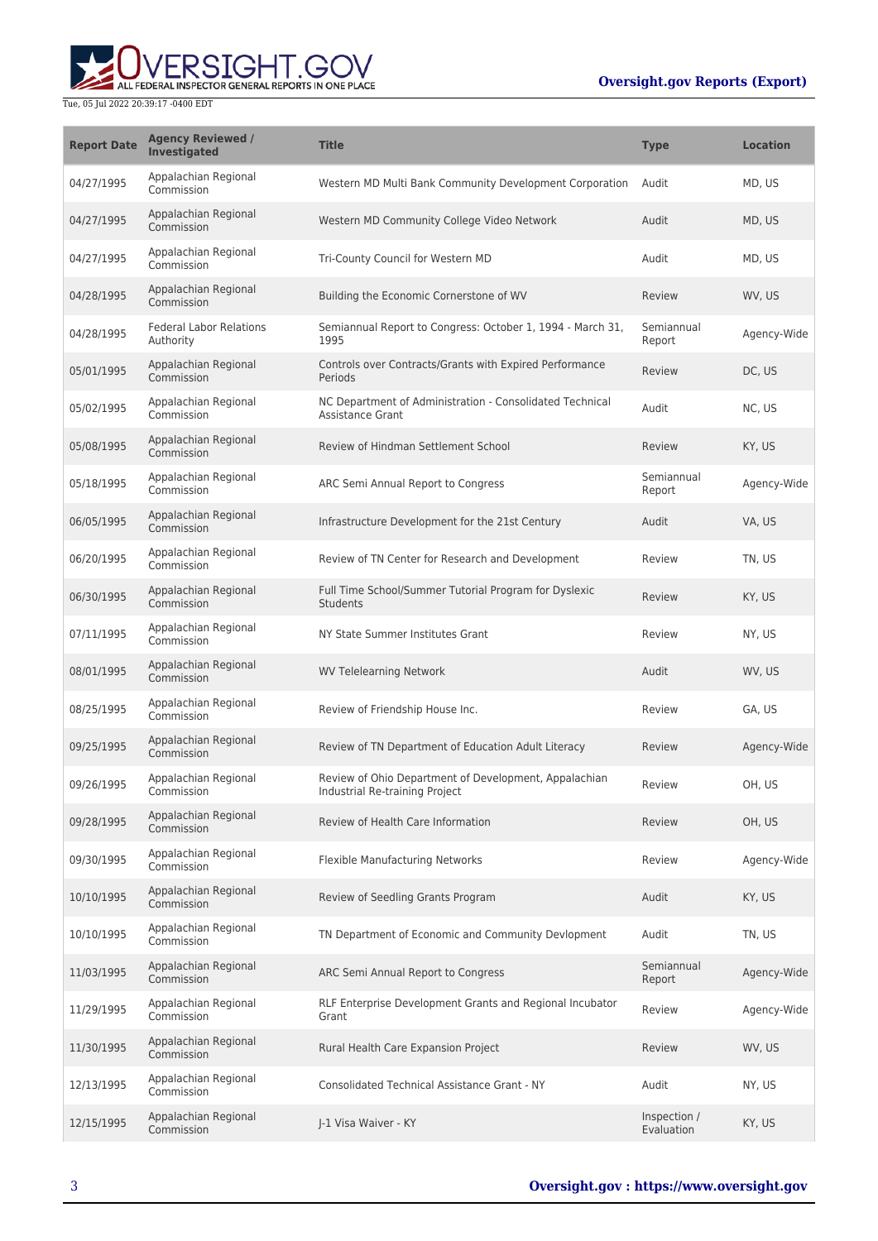## **Oversight.gov Reports (Export)**



| <b>Report Date</b> | <b>Agency Reviewed /</b><br>Investigated    | <b>Title</b>                                                                            | <b>Type</b>                | <b>Location</b> |
|--------------------|---------------------------------------------|-----------------------------------------------------------------------------------------|----------------------------|-----------------|
| 04/27/1995         | Appalachian Regional<br>Commission          | Western MD Multi Bank Community Development Corporation                                 | Audit                      | MD, US          |
| 04/27/1995         | Appalachian Regional<br>Commission          | Western MD Community College Video Network                                              | Audit                      | MD, US          |
| 04/27/1995         | Appalachian Regional<br>Commission          | Tri-County Council for Western MD                                                       | Audit                      | MD, US          |
| 04/28/1995         | Appalachian Regional<br>Commission          | Building the Economic Cornerstone of WV                                                 | Review                     | WV, US          |
| 04/28/1995         | <b>Federal Labor Relations</b><br>Authority | Semiannual Report to Congress: October 1, 1994 - March 31,<br>1995                      | Semiannual<br>Report       | Agency-Wide     |
| 05/01/1995         | Appalachian Regional<br>Commission          | Controls over Contracts/Grants with Expired Performance<br>Periods                      | Review                     | DC, US          |
| 05/02/1995         | Appalachian Regional<br>Commission          | NC Department of Administration - Consolidated Technical<br><b>Assistance Grant</b>     | Audit                      | NC, US          |
| 05/08/1995         | Appalachian Regional<br>Commission          | Review of Hindman Settlement School                                                     | Review                     | KY, US          |
| 05/18/1995         | Appalachian Regional<br>Commission          | ARC Semi Annual Report to Congress                                                      | Semiannual<br>Report       | Agency-Wide     |
| 06/05/1995         | Appalachian Regional<br>Commission          | Infrastructure Development for the 21st Century                                         | Audit                      | VA, US          |
| 06/20/1995         | Appalachian Regional<br>Commission          | Review of TN Center for Research and Development                                        | Review                     | TN, US          |
| 06/30/1995         | Appalachian Regional<br>Commission          | Full Time School/Summer Tutorial Program for Dyslexic<br><b>Students</b>                | Review                     | KY, US          |
| 07/11/1995         | Appalachian Regional<br>Commission          | NY State Summer Institutes Grant                                                        | Review                     | NY, US          |
| 08/01/1995         | Appalachian Regional<br>Commission          | <b>WV Telelearning Network</b>                                                          | Audit                      | WV, US          |
| 08/25/1995         | Appalachian Regional<br>Commission          | Review of Friendship House Inc.                                                         | Review                     | GA, US          |
| 09/25/1995         | Appalachian Regional<br>Commission          | Review of TN Department of Education Adult Literacy                                     | Review                     | Agency-Wide     |
| 09/26/1995         | Appalachian Regional<br>Commission          | Review of Ohio Department of Development, Appalachian<br>Industrial Re-training Project | Review                     | OH, US          |
| 09/28/1995         | Appalachian Regional<br>Commission          | Review of Health Care Information                                                       | Review                     | OH, US          |
| 09/30/1995         | Appalachian Regional<br>Commission          | Flexible Manufacturing Networks                                                         | Review                     | Agency-Wide     |
| 10/10/1995         | Appalachian Regional<br>Commission          | Review of Seedling Grants Program                                                       | Audit                      | KY, US          |
| 10/10/1995         | Appalachian Regional<br>Commission          | TN Department of Economic and Community Devlopment                                      | Audit                      | TN, US          |
| 11/03/1995         | Appalachian Regional<br>Commission          | ARC Semi Annual Report to Congress                                                      | Semiannual<br>Report       | Agency-Wide     |
| 11/29/1995         | Appalachian Regional<br>Commission          | RLF Enterprise Development Grants and Regional Incubator<br>Grant                       | Review                     | Agency-Wide     |
| 11/30/1995         | Appalachian Regional<br>Commission          | Rural Health Care Expansion Project                                                     | Review                     | WV, US          |
| 12/13/1995         | Appalachian Regional<br>Commission          | <b>Consolidated Technical Assistance Grant - NY</b>                                     | Audit                      | NY, US          |
| 12/15/1995         | Appalachian Regional<br>Commission          | J-1 Visa Waiver - KY                                                                    | Inspection /<br>Evaluation | KY, US          |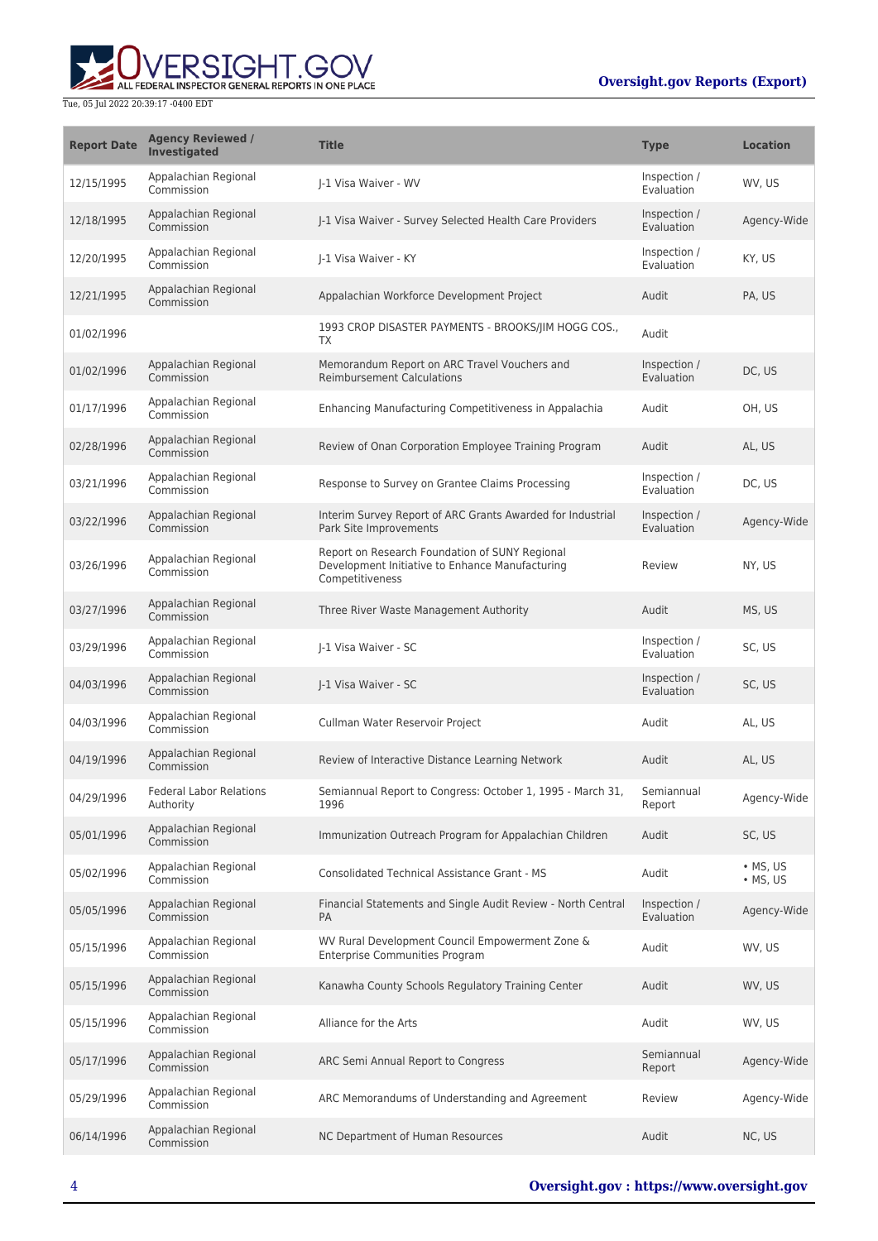

| <b>Report Date</b> | <b>Agency Reviewed /</b><br><b>Investigated</b> | <b>Title</b>                                                                                                         | <b>Type</b>                       | <b>Location</b>              |
|--------------------|-------------------------------------------------|----------------------------------------------------------------------------------------------------------------------|-----------------------------------|------------------------------|
| 12/15/1995         | Appalachian Regional<br>Commission              | I-1 Visa Waiver - WV                                                                                                 | Inspection /<br>Evaluation        | WV, US                       |
| 12/18/1995         | Appalachian Regional<br>Commission              | J-1 Visa Waiver - Survey Selected Health Care Providers                                                              | Inspection /<br>Evaluation        | Agency-Wide                  |
| 12/20/1995         | Appalachian Regional<br>Commission              | I-1 Visa Waiver - KY                                                                                                 | Inspection /<br>Evaluation        | KY, US                       |
| 12/21/1995         | Appalachian Regional<br>Commission              | Appalachian Workforce Development Project                                                                            | Audit                             | PA, US                       |
| 01/02/1996         |                                                 | 1993 CROP DISASTER PAYMENTS - BROOKS/JIM HOGG COS.,<br>TX                                                            | Audit                             |                              |
| 01/02/1996         | Appalachian Regional<br>Commission              | Memorandum Report on ARC Travel Vouchers and<br><b>Reimbursement Calculations</b>                                    | Inspection /<br>Evaluation        | DC, US                       |
| 01/17/1996         | Appalachian Regional<br>Commission              | Enhancing Manufacturing Competitiveness in Appalachia                                                                | Audit                             | OH, US                       |
| 02/28/1996         | Appalachian Regional<br>Commission              | Review of Onan Corporation Employee Training Program                                                                 | Audit                             | AL, US                       |
| 03/21/1996         | Appalachian Regional<br>Commission              | Response to Survey on Grantee Claims Processing                                                                      | Inspection /<br>Evaluation        | DC, US                       |
| 03/22/1996         | Appalachian Regional<br>Commission              | Interim Survey Report of ARC Grants Awarded for Industrial<br>Park Site Improvements                                 | Inspection /<br><b>Evaluation</b> | Agency-Wide                  |
| 03/26/1996         | Appalachian Regional<br>Commission              | Report on Research Foundation of SUNY Regional<br>Development Initiative to Enhance Manufacturing<br>Competitiveness | Review                            | NY, US                       |
| 03/27/1996         | Appalachian Regional<br>Commission              | Three River Waste Management Authority                                                                               | Audit                             | MS, US                       |
| 03/29/1996         | Appalachian Regional<br>Commission              | I-1 Visa Waiver - SC                                                                                                 | Inspection /<br>Evaluation        | SC, US                       |
| 04/03/1996         | Appalachian Regional<br>Commission              | J-1 Visa Waiver - SC                                                                                                 | Inspection /<br>Evaluation        | SC, US                       |
| 04/03/1996         | Appalachian Regional<br>Commission              | Cullman Water Reservoir Project                                                                                      | Audit                             | AL, US                       |
| 04/19/1996         | Appalachian Regional<br>Commission              | Review of Interactive Distance Learning Network                                                                      | Audit                             | AL, US                       |
| 04/29/1996         | <b>Federal Labor Relations</b><br>Authority     | Semiannual Report to Congress: October 1, 1995 - March 31,<br>1996                                                   | Semiannual<br>Report              | Agency-Wide                  |
| 05/01/1996         | Appalachian Regional<br>Commission              | Immunization Outreach Program for Appalachian Children                                                               | Audit                             | SC, US                       |
| 05/02/1996         | Appalachian Regional<br>Commission              | <b>Consolidated Technical Assistance Grant - MS</b>                                                                  | Audit                             | • MS, US<br>$\bullet$ MS, US |
| 05/05/1996         | Appalachian Regional<br>Commission              | Financial Statements and Single Audit Review - North Central<br><b>PA</b>                                            | Inspection /<br>Evaluation        | Agency-Wide                  |
| 05/15/1996         | Appalachian Regional<br>Commission              | WV Rural Development Council Empowerment Zone &<br><b>Enterprise Communities Program</b>                             | Audit                             | WV, US                       |
| 05/15/1996         | Appalachian Regional<br>Commission              | Kanawha County Schools Regulatory Training Center                                                                    | Audit                             | WV, US                       |
| 05/15/1996         | Appalachian Regional<br>Commission              | Alliance for the Arts                                                                                                | Audit                             | WV, US                       |
| 05/17/1996         | Appalachian Regional<br>Commission              | ARC Semi Annual Report to Congress                                                                                   | Semiannual<br>Report              | Agency-Wide                  |
| 05/29/1996         | Appalachian Regional<br>Commission              | ARC Memorandums of Understanding and Agreement                                                                       | Review                            | Agency-Wide                  |
| 06/14/1996         | Appalachian Regional<br>Commission              | NC Department of Human Resources                                                                                     | Audit                             | NC, US                       |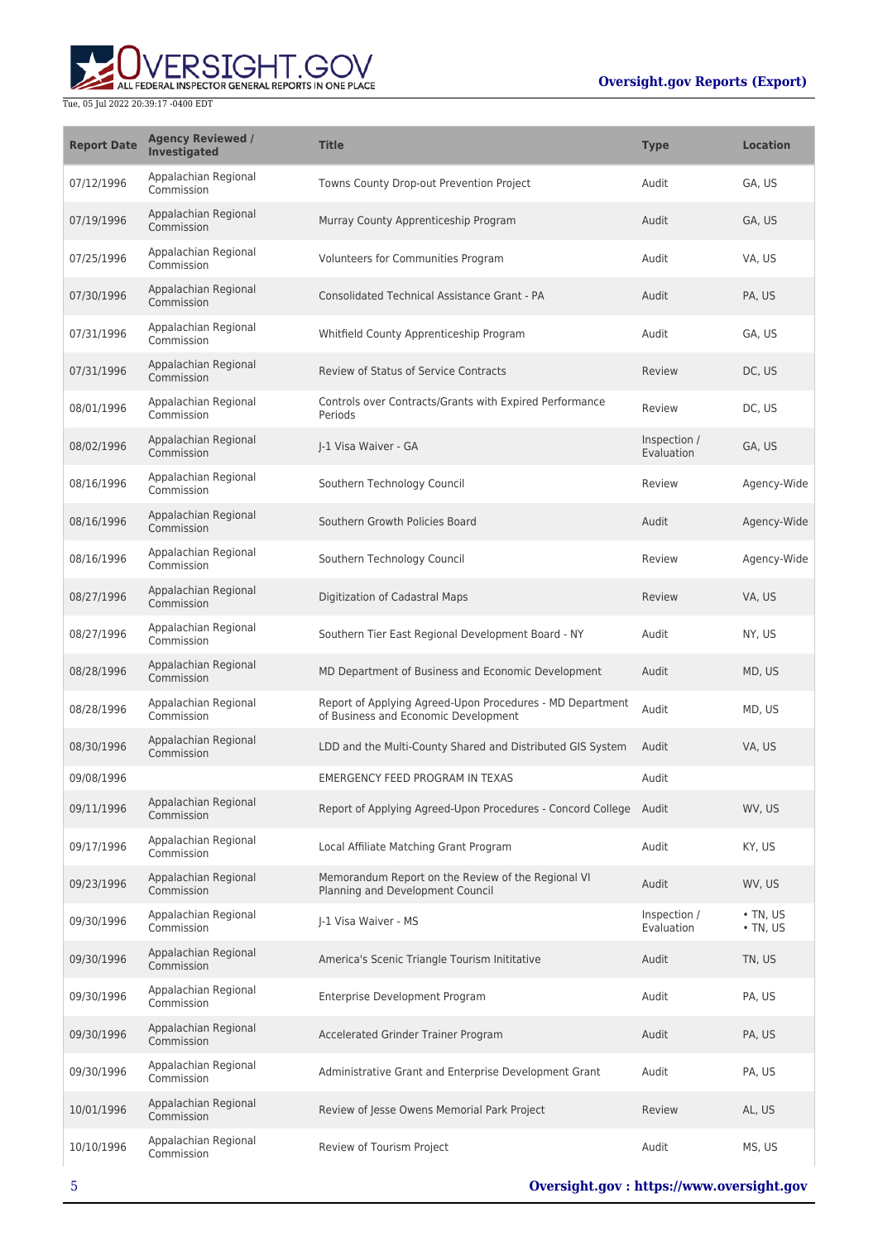

| <b>Report Date</b> | <b>Agency Reviewed /</b><br>Investigated | <b>Title</b>                                                                                      | <b>Type</b>                | <b>Location</b>                  |
|--------------------|------------------------------------------|---------------------------------------------------------------------------------------------------|----------------------------|----------------------------------|
| 07/12/1996         | Appalachian Regional<br>Commission       | Towns County Drop-out Prevention Project                                                          | Audit                      | GA, US                           |
| 07/19/1996         | Appalachian Regional<br>Commission       | Murray County Apprenticeship Program                                                              | Audit                      | GA, US                           |
| 07/25/1996         | Appalachian Regional<br>Commission       | Volunteers for Communities Program                                                                | Audit                      | VA, US                           |
| 07/30/1996         | Appalachian Regional<br>Commission       | Consolidated Technical Assistance Grant - PA                                                      | Audit                      | PA, US                           |
| 07/31/1996         | Appalachian Regional<br>Commission       | Whitfield County Apprenticeship Program                                                           | Audit                      | GA, US                           |
| 07/31/1996         | Appalachian Regional<br>Commission       | Review of Status of Service Contracts                                                             | Review                     | DC, US                           |
| 08/01/1996         | Appalachian Regional<br>Commission       | Controls over Contracts/Grants with Expired Performance<br>Periods                                | Review                     | DC, US                           |
| 08/02/1996         | Appalachian Regional<br>Commission       | I-1 Visa Waiver - GA                                                                              | Inspection /<br>Evaluation | GA, US                           |
| 08/16/1996         | Appalachian Regional<br>Commission       | Southern Technology Council                                                                       | Review                     | Agency-Wide                      |
| 08/16/1996         | Appalachian Regional<br>Commission       | Southern Growth Policies Board                                                                    | Audit                      | Agency-Wide                      |
| 08/16/1996         | Appalachian Regional<br>Commission       | Southern Technology Council                                                                       | Review                     | Agency-Wide                      |
| 08/27/1996         | Appalachian Regional<br>Commission       | Digitization of Cadastral Maps                                                                    | Review                     | VA, US                           |
| 08/27/1996         | Appalachian Regional<br>Commission       | Southern Tier East Regional Development Board - NY                                                | Audit                      | NY, US                           |
| 08/28/1996         | Appalachian Regional<br>Commission       | MD Department of Business and Economic Development                                                | Audit                      | MD, US                           |
| 08/28/1996         | Appalachian Regional<br>Commission       | Report of Applying Agreed-Upon Procedures - MD Department<br>of Business and Economic Development | Audit                      | MD, US                           |
| 08/30/1996         | Appalachian Regional<br>Commission       | LDD and the Multi-County Shared and Distributed GIS System                                        | Audit                      | VA, US                           |
| 09/08/1996         |                                          | <b>EMERGENCY FEED PROGRAM IN TEXAS</b>                                                            | Audit                      |                                  |
| 09/11/1996         | Appalachian Regional<br>Commission       | Report of Applying Agreed-Upon Procedures - Concord College Audit                                 |                            | WV, US                           |
| 09/17/1996         | Appalachian Regional<br>Commission       | Local Affiliate Matching Grant Program                                                            | Audit                      | KY, US                           |
| 09/23/1996         | Appalachian Regional<br>Commission       | Memorandum Report on the Review of the Regional VI<br>Planning and Development Council            | Audit                      | WV, US                           |
| 09/30/1996         | Appalachian Regional<br>Commission       | J-1 Visa Waiver - MS                                                                              | Inspection /<br>Evaluation | $\cdot$ TN, US<br>$\cdot$ TN, US |
| 09/30/1996         | Appalachian Regional<br>Commission       | America's Scenic Triangle Tourism Inititative                                                     | Audit                      | TN, US                           |
| 09/30/1996         | Appalachian Regional<br>Commission       | Enterprise Development Program                                                                    | Audit                      | PA, US                           |
| 09/30/1996         | Appalachian Regional<br>Commission       | Accelerated Grinder Trainer Program                                                               | Audit                      | PA, US                           |
| 09/30/1996         | Appalachian Regional<br>Commission       | Administrative Grant and Enterprise Development Grant                                             | Audit                      | PA, US                           |
| 10/01/1996         | Appalachian Regional<br>Commission       | Review of Jesse Owens Memorial Park Project                                                       | Review                     | AL, US                           |
| 10/10/1996         | Appalachian Regional<br>Commission       | Review of Tourism Project                                                                         | Audit                      | MS, US                           |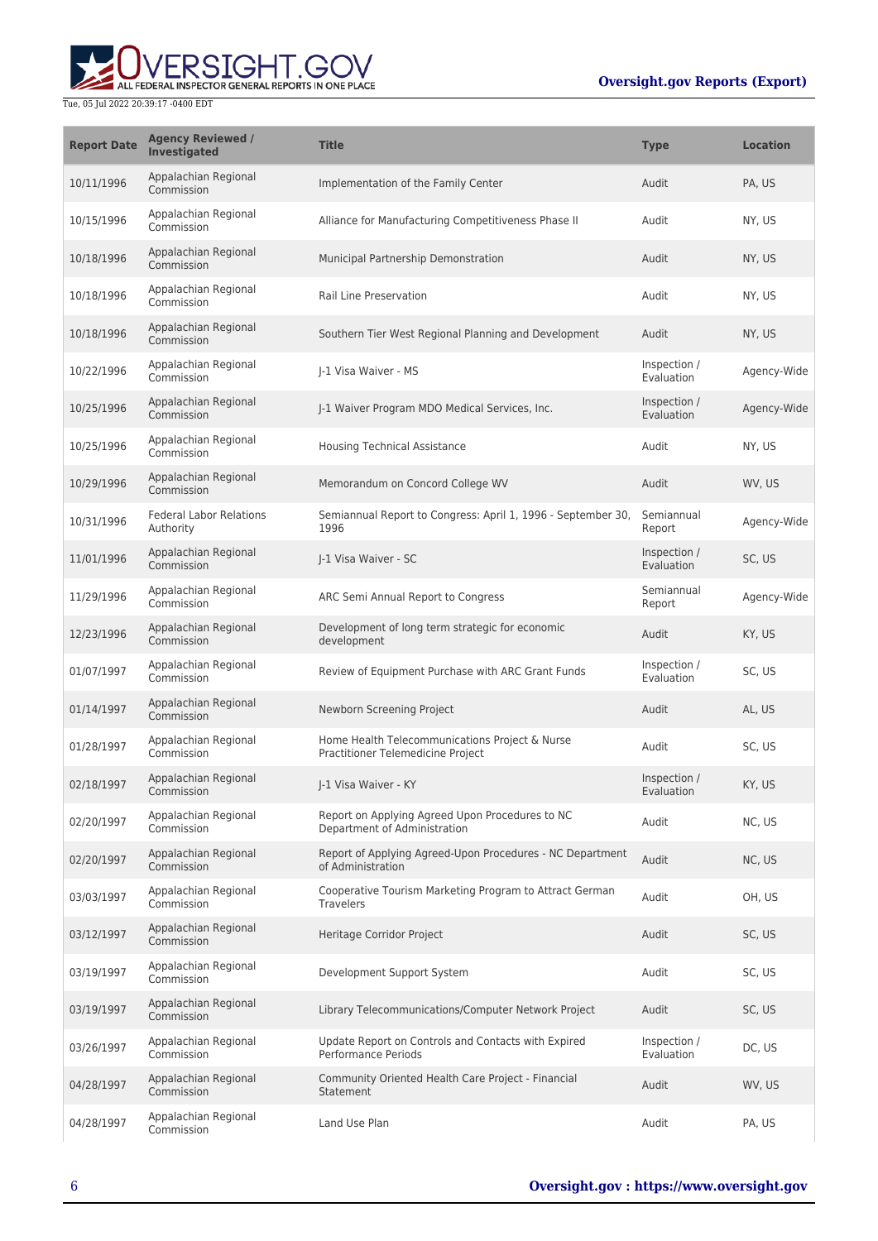

| <b>Report Date</b> | <b>Agency Reviewed /</b><br>Investigated    | <b>Title</b>                                                                        | <b>Type</b>                | <b>Location</b> |
|--------------------|---------------------------------------------|-------------------------------------------------------------------------------------|----------------------------|-----------------|
| 10/11/1996         | Appalachian Regional<br>Commission          | Implementation of the Family Center                                                 | Audit                      | PA, US          |
| 10/15/1996         | Appalachian Regional<br>Commission          | Alliance for Manufacturing Competitiveness Phase II                                 | Audit                      | NY, US          |
| 10/18/1996         | Appalachian Regional<br>Commission          | Municipal Partnership Demonstration                                                 | Audit                      | NY, US          |
| 10/18/1996         | Appalachian Regional<br>Commission          | Rail Line Preservation                                                              | Audit                      | NY, US          |
| 10/18/1996         | Appalachian Regional<br>Commission          | Southern Tier West Regional Planning and Development                                | Audit                      | NY, US          |
| 10/22/1996         | Appalachian Regional<br>Commission          | I-1 Visa Waiver - MS                                                                | Inspection /<br>Evaluation | Agency-Wide     |
| 10/25/1996         | Appalachian Regional<br>Commission          | J-1 Waiver Program MDO Medical Services, Inc.                                       | Inspection /<br>Evaluation | Agency-Wide     |
| 10/25/1996         | Appalachian Regional<br>Commission          | <b>Housing Technical Assistance</b>                                                 | Audit                      | NY, US          |
| 10/29/1996         | Appalachian Regional<br>Commission          | Memorandum on Concord College WV                                                    | Audit                      | WV, US          |
| 10/31/1996         | <b>Federal Labor Relations</b><br>Authority | Semiannual Report to Congress: April 1, 1996 - September 30,<br>1996                | Semiannual<br>Report       | Agency-Wide     |
| 11/01/1996         | Appalachian Regional<br>Commission          | J-1 Visa Waiver - SC                                                                | Inspection /<br>Evaluation | SC, US          |
| 11/29/1996         | Appalachian Regional<br>Commission          | ARC Semi Annual Report to Congress                                                  | Semiannual<br>Report       | Agency-Wide     |
| 12/23/1996         | Appalachian Regional<br>Commission          | Development of long term strategic for economic<br>development                      | Audit                      | KY, US          |
| 01/07/1997         | Appalachian Regional<br>Commission          | Review of Equipment Purchase with ARC Grant Funds                                   | Inspection /<br>Evaluation | SC, US          |
| 01/14/1997         | Appalachian Regional<br>Commission          | Newborn Screening Project                                                           | Audit                      | AL, US          |
| 01/28/1997         | Appalachian Regional<br>Commission          | Home Health Telecommunications Project & Nurse<br>Practitioner Telemedicine Project | Audit                      | SC, US          |
| 02/18/1997         | Appalachian Regional<br>Commission          | J-1 Visa Waiver - KY                                                                | Inspection /<br>Evaluation | KY, US          |
| 02/20/1997         | Appalachian Regional<br>Commission          | Report on Applying Agreed Upon Procedures to NC<br>Department of Administration     | Audit                      | NC, US          |
| 02/20/1997         | Appalachian Regional<br>Commission          | Report of Applying Agreed-Upon Procedures - NC Department<br>of Administration      | Audit                      | NC, US          |
| 03/03/1997         | Appalachian Regional<br>Commission          | Cooperative Tourism Marketing Program to Attract German<br><b>Travelers</b>         | Audit                      | OH, US          |
| 03/12/1997         | Appalachian Regional<br>Commission          | Heritage Corridor Project                                                           | Audit                      | SC, US          |
| 03/19/1997         | Appalachian Regional<br>Commission          | Development Support System                                                          | Audit                      | SC, US          |
| 03/19/1997         | Appalachian Regional<br>Commission          | Library Telecommunications/Computer Network Project                                 | Audit                      | SC, US          |
| 03/26/1997         | Appalachian Regional<br>Commission          | Update Report on Controls and Contacts with Expired<br><b>Performance Periods</b>   | Inspection /<br>Evaluation | DC, US          |
| 04/28/1997         | Appalachian Regional<br>Commission          | Community Oriented Health Care Project - Financial<br>Statement                     | Audit                      | WV, US          |
| 04/28/1997         | Appalachian Regional<br>Commission          | Land Use Plan                                                                       | Audit                      | PA, US          |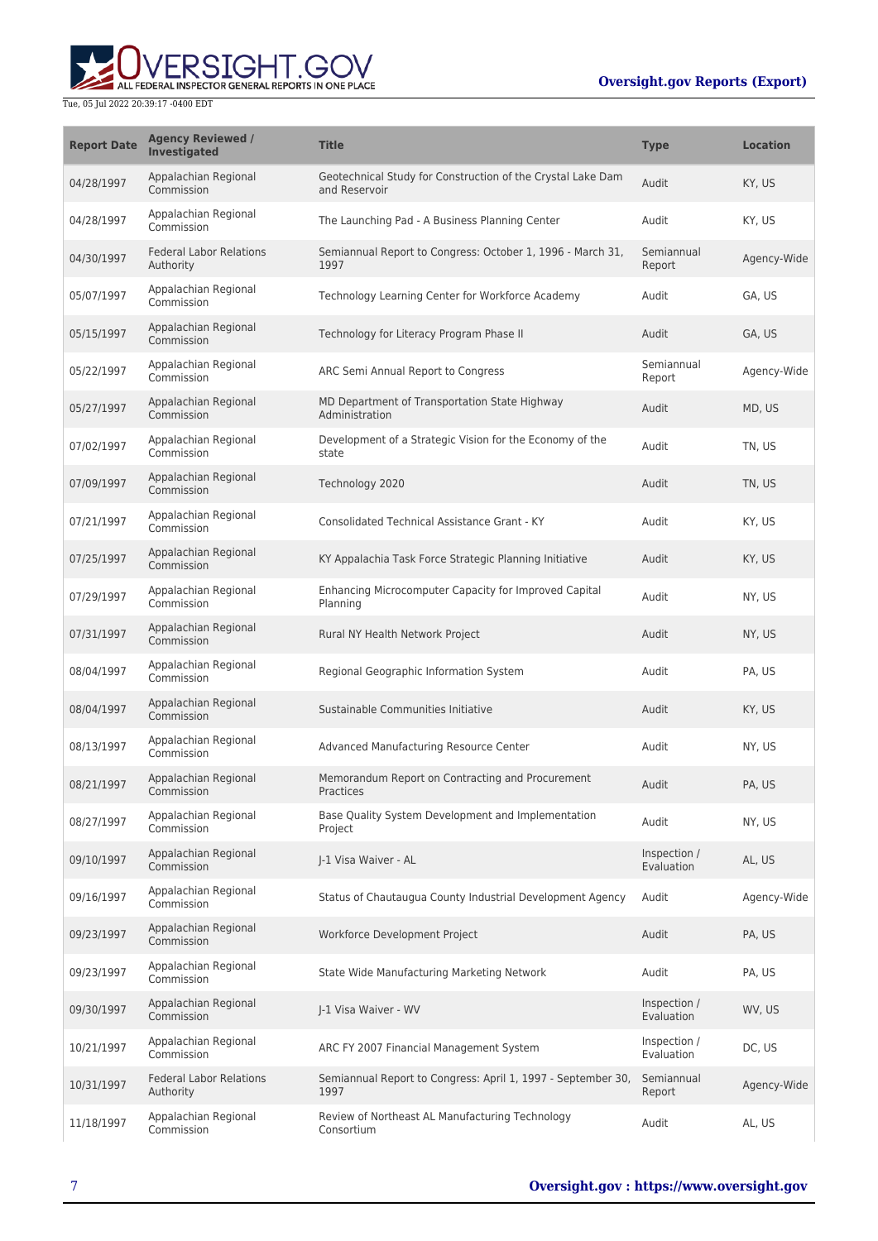# ALL FEDERAL INSPECTOR GENERAL REPORTS IN ONE PLACE Tue, 05 Jul 2022 20:39:17 -0400 EDT

| <b>Report Date</b> | <b>Agency Reviewed /</b><br><b>Investigated</b> | <b>Title</b>                                                                 | <b>Type</b>                | <b>Location</b> |
|--------------------|-------------------------------------------------|------------------------------------------------------------------------------|----------------------------|-----------------|
| 04/28/1997         | Appalachian Regional<br>Commission              | Geotechnical Study for Construction of the Crystal Lake Dam<br>and Reservoir | Audit                      | KY, US          |
| 04/28/1997         | Appalachian Regional<br>Commission              | The Launching Pad - A Business Planning Center                               | Audit                      | KY, US          |
| 04/30/1997         | <b>Federal Labor Relations</b><br>Authority     | Semiannual Report to Congress: October 1, 1996 - March 31,<br>1997           | Semiannual<br>Report       | Agency-Wide     |
| 05/07/1997         | Appalachian Regional<br>Commission              | Technology Learning Center for Workforce Academy                             | Audit                      | GA, US          |
| 05/15/1997         | Appalachian Regional<br>Commission              | Technology for Literacy Program Phase II                                     | Audit                      | GA, US          |
| 05/22/1997         | Appalachian Regional<br>Commission              | ARC Semi Annual Report to Congress                                           | Semiannual<br>Report       | Agency-Wide     |
| 05/27/1997         | Appalachian Regional<br>Commission              | MD Department of Transportation State Highway<br>Administration              | Audit                      | MD, US          |
| 07/02/1997         | Appalachian Regional<br>Commission              | Development of a Strategic Vision for the Economy of the<br>state            | Audit                      | TN, US          |
| 07/09/1997         | Appalachian Regional<br>Commission              | Technology 2020                                                              | Audit                      | TN, US          |
| 07/21/1997         | Appalachian Regional<br>Commission              | Consolidated Technical Assistance Grant - KY                                 | Audit                      | KY, US          |
| 07/25/1997         | Appalachian Regional<br>Commission              | KY Appalachia Task Force Strategic Planning Initiative                       | Audit                      | KY, US          |
| 07/29/1997         | Appalachian Regional<br>Commission              | Enhancing Microcomputer Capacity for Improved Capital<br>Planning            | Audit                      | NY, US          |
| 07/31/1997         | Appalachian Regional<br>Commission              | Rural NY Health Network Project                                              | Audit                      | NY, US          |
| 08/04/1997         | Appalachian Regional<br>Commission              | Regional Geographic Information System                                       | Audit                      | PA, US          |
| 08/04/1997         | Appalachian Regional<br>Commission              | Sustainable Communities Initiative                                           | Audit                      | KY, US          |
| 08/13/1997         | Appalachian Regional<br>Commission              | Advanced Manufacturing Resource Center                                       | Audit                      | NY, US          |
| 08/21/1997         | Appalachian Regional<br>Commission              | Memorandum Report on Contracting and Procurement<br>Practices                | Audit                      | PA, US          |
| 08/27/1997         | Appalachian Regional<br>Commission              | Base Quality System Development and Implementation<br>Project                | Audit                      | NY, US          |
| 09/10/1997         | Appalachian Regional<br>Commission              | I-1 Visa Waiver - AL                                                         | Inspection /<br>Evaluation | AL, US          |
| 09/16/1997         | Appalachian Regional<br>Commission              | Status of Chautauqua County Industrial Development Agency                    | Audit                      | Agency-Wide     |
| 09/23/1997         | Appalachian Regional<br>Commission              | Workforce Development Project                                                | Audit                      | PA, US          |
| 09/23/1997         | Appalachian Regional<br>Commission              | State Wide Manufacturing Marketing Network                                   | Audit                      | PA, US          |
| 09/30/1997         | Appalachian Regional<br>Commission              | J-1 Visa Waiver - WV                                                         | Inspection /<br>Evaluation | WV, US          |
| 10/21/1997         | Appalachian Regional<br>Commission              | ARC FY 2007 Financial Management System                                      | Inspection /<br>Evaluation | DC, US          |
| 10/31/1997         | <b>Federal Labor Relations</b><br>Authority     | Semiannual Report to Congress: April 1, 1997 - September 30,<br>1997         | Semiannual<br>Report       | Agency-Wide     |
| 11/18/1997         | Appalachian Regional<br>Commission              | Review of Northeast AL Manufacturing Technology<br>Consortium                | Audit                      | AL, US          |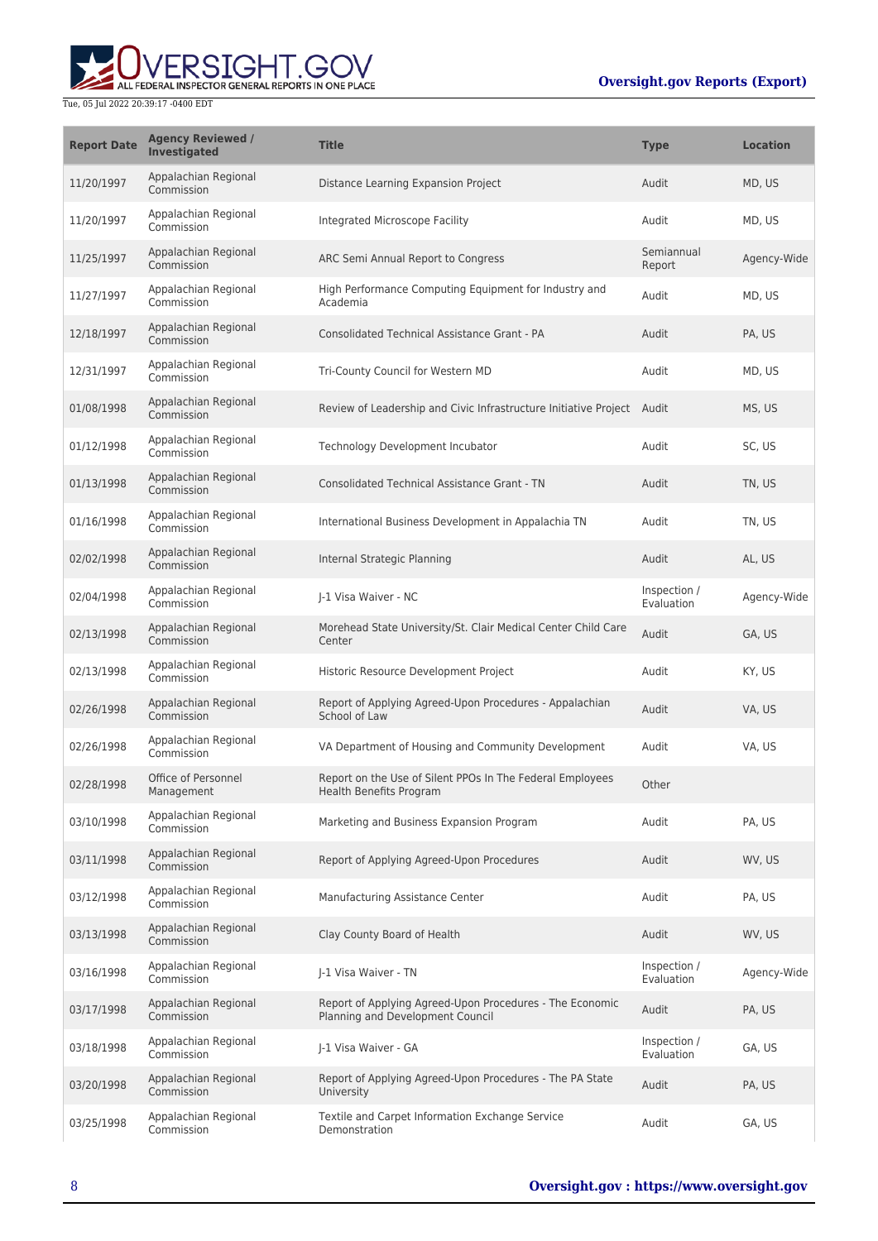

| <b>Report Date</b> | <b>Agency Reviewed /</b><br><b>Investigated</b> | <b>Title</b>                                                                                 | <b>Type</b>                | <b>Location</b> |
|--------------------|-------------------------------------------------|----------------------------------------------------------------------------------------------|----------------------------|-----------------|
| 11/20/1997         | Appalachian Regional<br>Commission              | Distance Learning Expansion Project                                                          | Audit                      | MD, US          |
| 11/20/1997         | Appalachian Regional<br>Commission              | Integrated Microscope Facility                                                               | Audit                      | MD, US          |
| 11/25/1997         | Appalachian Regional<br>Commission              | ARC Semi Annual Report to Congress                                                           | Semiannual<br>Report       | Agency-Wide     |
| 11/27/1997         | Appalachian Regional<br>Commission              | High Performance Computing Equipment for Industry and<br>Academia                            | Audit                      | MD, US          |
| 12/18/1997         | Appalachian Regional<br>Commission              | <b>Consolidated Technical Assistance Grant - PA</b>                                          | Audit                      | PA. US          |
| 12/31/1997         | Appalachian Regional<br>Commission              | Tri-County Council for Western MD                                                            | Audit                      | MD, US          |
| 01/08/1998         | Appalachian Regional<br>Commission              | Review of Leadership and Civic Infrastructure Initiative Project Audit                       |                            | MS, US          |
| 01/12/1998         | Appalachian Regional<br>Commission              | Technology Development Incubator                                                             | Audit                      | SC, US          |
| 01/13/1998         | Appalachian Regional<br>Commission              | <b>Consolidated Technical Assistance Grant - TN</b>                                          | Audit                      | TN, US          |
| 01/16/1998         | Appalachian Regional<br>Commission              | International Business Development in Appalachia TN                                          | Audit                      | TN, US          |
| 02/02/1998         | Appalachian Regional<br>Commission              | Internal Strategic Planning                                                                  | Audit                      | AL, US          |
| 02/04/1998         | Appalachian Regional<br>Commission              | J-1 Visa Waiver - NC                                                                         | Inspection /<br>Evaluation | Agency-Wide     |
| 02/13/1998         | Appalachian Regional<br>Commission              | Morehead State University/St. Clair Medical Center Child Care<br>Center                      | Audit                      | GA, US          |
| 02/13/1998         | Appalachian Regional<br>Commission              | Historic Resource Development Project                                                        | Audit                      | KY, US          |
| 02/26/1998         | Appalachian Regional<br>Commission              | Report of Applying Agreed-Upon Procedures - Appalachian<br>School of Law                     | Audit                      | VA, US          |
| 02/26/1998         | Appalachian Regional<br>Commission              | VA Department of Housing and Community Development                                           | Audit                      | VA, US          |
| 02/28/1998         | Office of Personnel<br>Management               | Report on the Use of Silent PPOs In The Federal Employees<br>Health Benefits Program         | Other                      |                 |
| 03/10/1998         | Appalachian Regional<br>Commission              | Marketing and Business Expansion Program                                                     | Audit                      | PA, US          |
| 03/11/1998         | Appalachian Regional<br>Commission              | Report of Applying Agreed-Upon Procedures                                                    | Audit                      | WV, US          |
| 03/12/1998         | Appalachian Regional<br>Commission              | Manufacturing Assistance Center                                                              | Audit                      | PA, US          |
| 03/13/1998         | Appalachian Regional<br>Commission              | Clay County Board of Health                                                                  | Audit                      | WV, US          |
| 03/16/1998         | Appalachian Regional<br>Commission              | J-1 Visa Waiver - TN                                                                         | Inspection /<br>Evaluation | Agency-Wide     |
| 03/17/1998         | Appalachian Regional<br>Commission              | Report of Applying Agreed-Upon Procedures - The Economic<br>Planning and Development Council | Audit                      | PA, US          |
| 03/18/1998         | Appalachian Regional<br>Commission              | J-1 Visa Waiver - GA                                                                         | Inspection /<br>Evaluation | GA, US          |
| 03/20/1998         | Appalachian Regional<br>Commission              | Report of Applying Agreed-Upon Procedures - The PA State<br>University                       | Audit                      | PA, US          |
| 03/25/1998         | Appalachian Regional<br>Commission              | Textile and Carpet Information Exchange Service<br>Demonstration                             | Audit                      | GA, US          |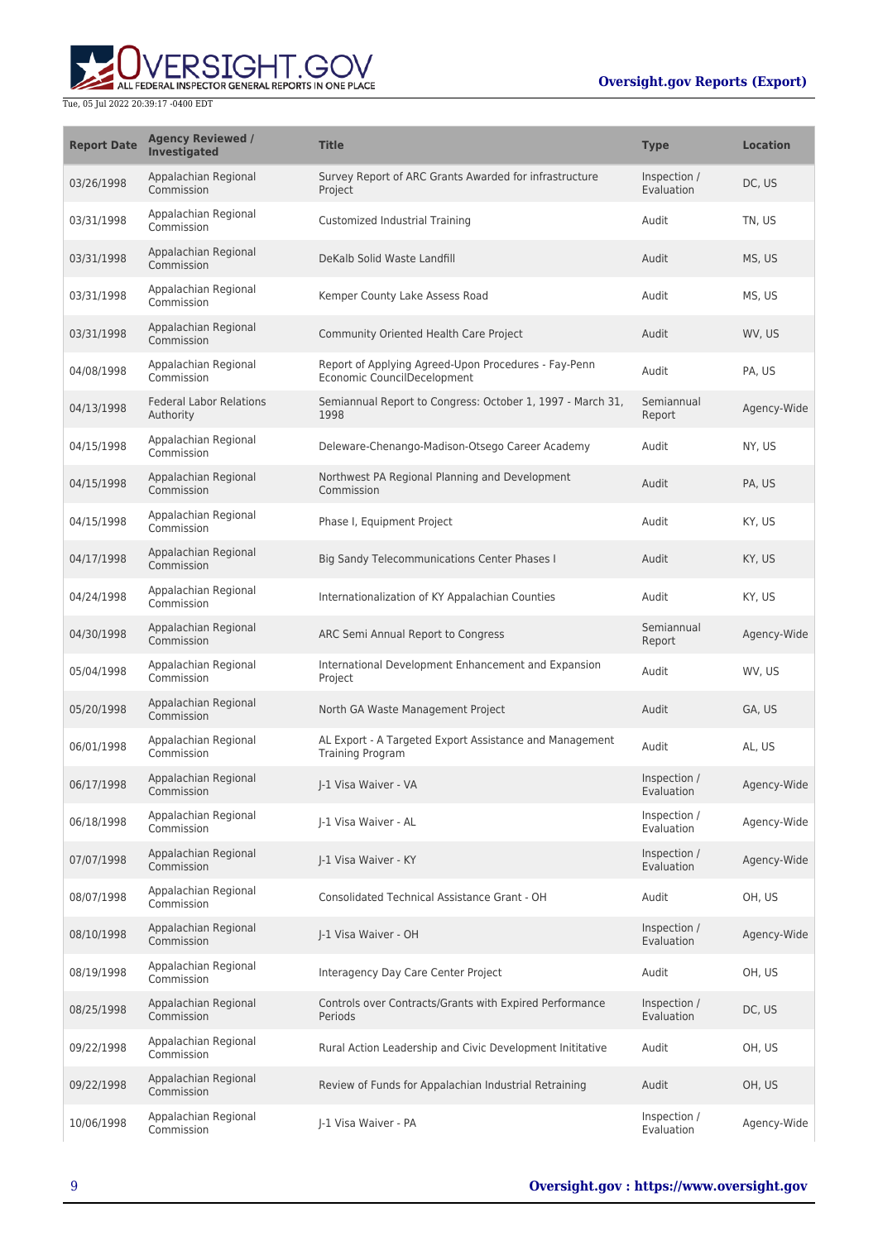

| <b>Report Date</b> | <b>Agency Reviewed /</b><br><b>Investigated</b> | <b>Title</b>                                                                        | <b>Type</b>                | <b>Location</b> |
|--------------------|-------------------------------------------------|-------------------------------------------------------------------------------------|----------------------------|-----------------|
| 03/26/1998         | Appalachian Regional<br>Commission              | Survey Report of ARC Grants Awarded for infrastructure<br>Project                   | Inspection /<br>Evaluation | DC, US          |
| 03/31/1998         | Appalachian Regional<br>Commission              | Customized Industrial Training                                                      | Audit                      | TN, US          |
| 03/31/1998         | Appalachian Regional<br>Commission              | DeKalb Solid Waste Landfill                                                         | Audit                      | MS, US          |
| 03/31/1998         | Appalachian Regional<br>Commission              | Kemper County Lake Assess Road                                                      | Audit                      | MS, US          |
| 03/31/1998         | Appalachian Regional<br>Commission              | Community Oriented Health Care Project                                              | Audit                      | WV, US          |
| 04/08/1998         | Appalachian Regional<br>Commission              | Report of Applying Agreed-Upon Procedures - Fay-Penn<br>Economic CouncilDecelopment | Audit                      | PA, US          |
| 04/13/1998         | <b>Federal Labor Relations</b><br>Authority     | Semiannual Report to Congress: October 1, 1997 - March 31,<br>1998                  | Semiannual<br>Report       | Agency-Wide     |
| 04/15/1998         | Appalachian Regional<br>Commission              | Deleware-Chenango-Madison-Otsego Career Academy                                     | Audit                      | NY, US          |
| 04/15/1998         | Appalachian Regional<br>Commission              | Northwest PA Regional Planning and Development<br>Commission                        | Audit                      | PA, US          |
| 04/15/1998         | Appalachian Regional<br>Commission              | Phase I, Equipment Project                                                          | Audit                      | KY, US          |
| 04/17/1998         | Appalachian Regional<br>Commission              | Big Sandy Telecommunications Center Phases I                                        | Audit                      | KY, US          |
| 04/24/1998         | Appalachian Regional<br>Commission              | Internationalization of KY Appalachian Counties                                     | Audit                      | KY, US          |
| 04/30/1998         | Appalachian Regional<br>Commission              | ARC Semi Annual Report to Congress                                                  | Semiannual<br>Report       | Agency-Wide     |
| 05/04/1998         | Appalachian Regional<br>Commission              | International Development Enhancement and Expansion<br>Project                      | Audit                      | WV, US          |
| 05/20/1998         | Appalachian Regional<br>Commission              | North GA Waste Management Project                                                   | Audit                      | GA, US          |
| 06/01/1998         | Appalachian Regional<br>Commission              | AL Export - A Targeted Export Assistance and Management<br><b>Training Program</b>  | Audit                      | AL, US          |
| 06/17/1998         | Appalachian Regional<br>Commission              | I-1 Visa Waiver - VA                                                                | Inspection /<br>Evaluation | Agency-Wide     |
| 06/18/1998         | Appalachian Regional<br>Commission              | J-1 Visa Waiver - AL                                                                | Inspection /<br>Evaluation | Agency-Wide     |
| 07/07/1998         | Appalachian Regional<br>Commission              | J-1 Visa Waiver - KY                                                                | Inspection /<br>Evaluation | Agency-Wide     |
| 08/07/1998         | Appalachian Regional<br>Commission              | Consolidated Technical Assistance Grant - OH                                        | Audit                      | OH, US          |
| 08/10/1998         | Appalachian Regional<br>Commission              | J-1 Visa Waiver - OH                                                                | Inspection /<br>Evaluation | Agency-Wide     |
| 08/19/1998         | Appalachian Regional<br>Commission              | Interagency Day Care Center Project                                                 | Audit                      | OH, US          |
| 08/25/1998         | Appalachian Regional<br>Commission              | Controls over Contracts/Grants with Expired Performance<br>Periods                  | Inspection /<br>Evaluation | DC, US          |
| 09/22/1998         | Appalachian Regional<br>Commission              | Rural Action Leadership and Civic Development Inititative                           | Audit                      | OH, US          |
| 09/22/1998         | Appalachian Regional<br>Commission              | Review of Funds for Appalachian Industrial Retraining                               | Audit                      | OH, US          |
| 10/06/1998         | Appalachian Regional<br>Commission              | J-1 Visa Waiver - PA                                                                | Inspection /<br>Evaluation | Agency-Wide     |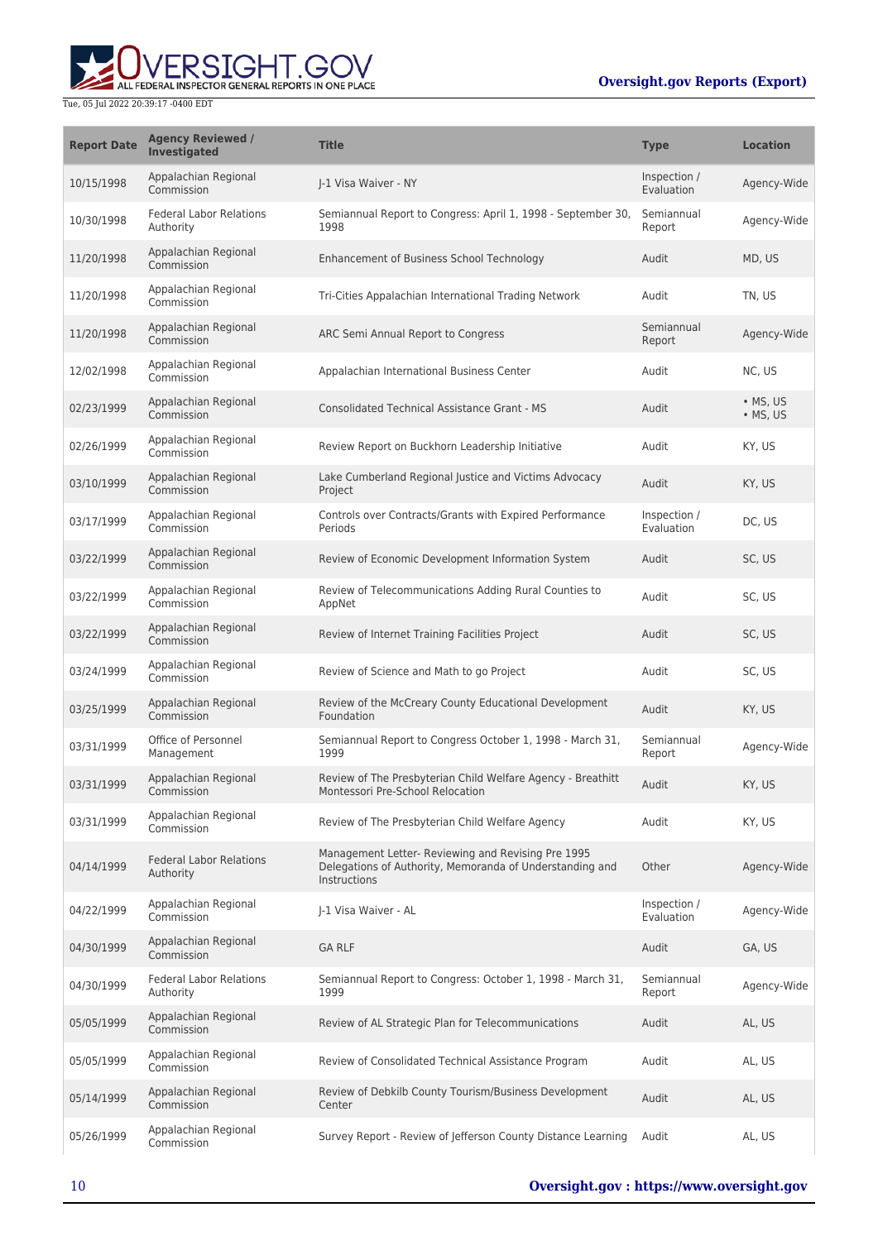## ERSIGHT.GOV ALL FEDERAL INSPECTOR GENERAL REPORTS IN ONE PLACE

| <b>Report Date</b> | <b>Agency Reviewed /</b><br>Investigated    | <b>Title</b>                                                                                                                   | <b>Type</b>                | <b>Location</b>              |
|--------------------|---------------------------------------------|--------------------------------------------------------------------------------------------------------------------------------|----------------------------|------------------------------|
| 10/15/1998         | Appalachian Regional<br>Commission          | I-1 Visa Waiver - NY                                                                                                           | Inspection /<br>Evaluation | Agency-Wide                  |
| 10/30/1998         | <b>Federal Labor Relations</b><br>Authority | Semiannual Report to Congress: April 1, 1998 - September 30,<br>1998                                                           | Semiannual<br>Report       | Agency-Wide                  |
| 11/20/1998         | Appalachian Regional<br>Commission          | Enhancement of Business School Technology                                                                                      | Audit                      | MD, US                       |
| 11/20/1998         | Appalachian Regional<br>Commission          | Tri-Cities Appalachian International Trading Network                                                                           | Audit                      | TN, US                       |
| 11/20/1998         | Appalachian Regional<br>Commission          | ARC Semi Annual Report to Congress                                                                                             | Semiannual<br>Report       | Agency-Wide                  |
| 12/02/1998         | Appalachian Regional<br>Commission          | Appalachian International Business Center                                                                                      | Audit                      | NC, US                       |
| 02/23/1999         | Appalachian Regional<br>Commission          | <b>Consolidated Technical Assistance Grant - MS</b>                                                                            | Audit                      | • MS, US<br>$\bullet$ MS, US |
| 02/26/1999         | Appalachian Regional<br>Commission          | Review Report on Buckhorn Leadership Initiative                                                                                | Audit                      | KY, US                       |
| 03/10/1999         | Appalachian Regional<br>Commission          | Lake Cumberland Regional Justice and Victims Advocacy<br>Project                                                               | Audit                      | KY, US                       |
| 03/17/1999         | Appalachian Regional<br>Commission          | Controls over Contracts/Grants with Expired Performance<br>Periods                                                             | Inspection /<br>Evaluation | DC, US                       |
| 03/22/1999         | Appalachian Regional<br>Commission          | Review of Economic Development Information System                                                                              | Audit                      | SC, US                       |
| 03/22/1999         | Appalachian Regional<br>Commission          | Review of Telecommunications Adding Rural Counties to<br>AppNet                                                                | Audit                      | SC, US                       |
| 03/22/1999         | Appalachian Regional<br>Commission          | Review of Internet Training Facilities Project                                                                                 | Audit                      | SC, US                       |
| 03/24/1999         | Appalachian Regional<br>Commission          | Review of Science and Math to go Project                                                                                       | Audit                      | SC, US                       |
| 03/25/1999         | Appalachian Regional<br>Commission          | Review of the McCreary County Educational Development<br>Foundation                                                            | Audit                      | KY, US                       |
| 03/31/1999         | Office of Personnel<br>Management           | Semiannual Report to Congress October 1, 1998 - March 31,<br>1999                                                              | Semiannual<br>Report       | Agency-Wide                  |
| 03/31/1999         | Appalachian Regional<br>Commission          | Review of The Presbyterian Child Welfare Agency - Breathitt<br>Montessori Pre-School Relocation                                | Audit                      | KY, US                       |
| 03/31/1999         | Appalachian Regional<br>Commission          | Review of The Presbyterian Child Welfare Agency                                                                                | Audit                      | KY, US                       |
| 04/14/1999         | <b>Federal Labor Relations</b><br>Authority | Management Letter- Reviewing and Revising Pre 1995<br>Delegations of Authority, Memoranda of Understanding and<br>Instructions | Other                      | Agency-Wide                  |
| 04/22/1999         | Appalachian Regional<br>Commission          | J-1 Visa Waiver - AL                                                                                                           | Inspection /<br>Evaluation | Agency-Wide                  |
| 04/30/1999         | Appalachian Regional<br>Commission          | <b>GA RLF</b>                                                                                                                  | Audit                      | GA, US                       |
| 04/30/1999         | <b>Federal Labor Relations</b><br>Authority | Semiannual Report to Congress: October 1, 1998 - March 31,<br>1999                                                             | Semiannual<br>Report       | Agency-Wide                  |
| 05/05/1999         | Appalachian Regional<br>Commission          | Review of AL Strategic Plan for Telecommunications                                                                             | Audit                      | AL, US                       |
| 05/05/1999         | Appalachian Regional<br>Commission          | Review of Consolidated Technical Assistance Program                                                                            | Audit                      | AL, US                       |
| 05/14/1999         | Appalachian Regional<br>Commission          | Review of Debkilb County Tourism/Business Development<br>Center                                                                | Audit                      | AL, US                       |
| 05/26/1999         | Appalachian Regional<br>Commission          | Survey Report - Review of Jefferson County Distance Learning                                                                   | Audit                      | AL, US                       |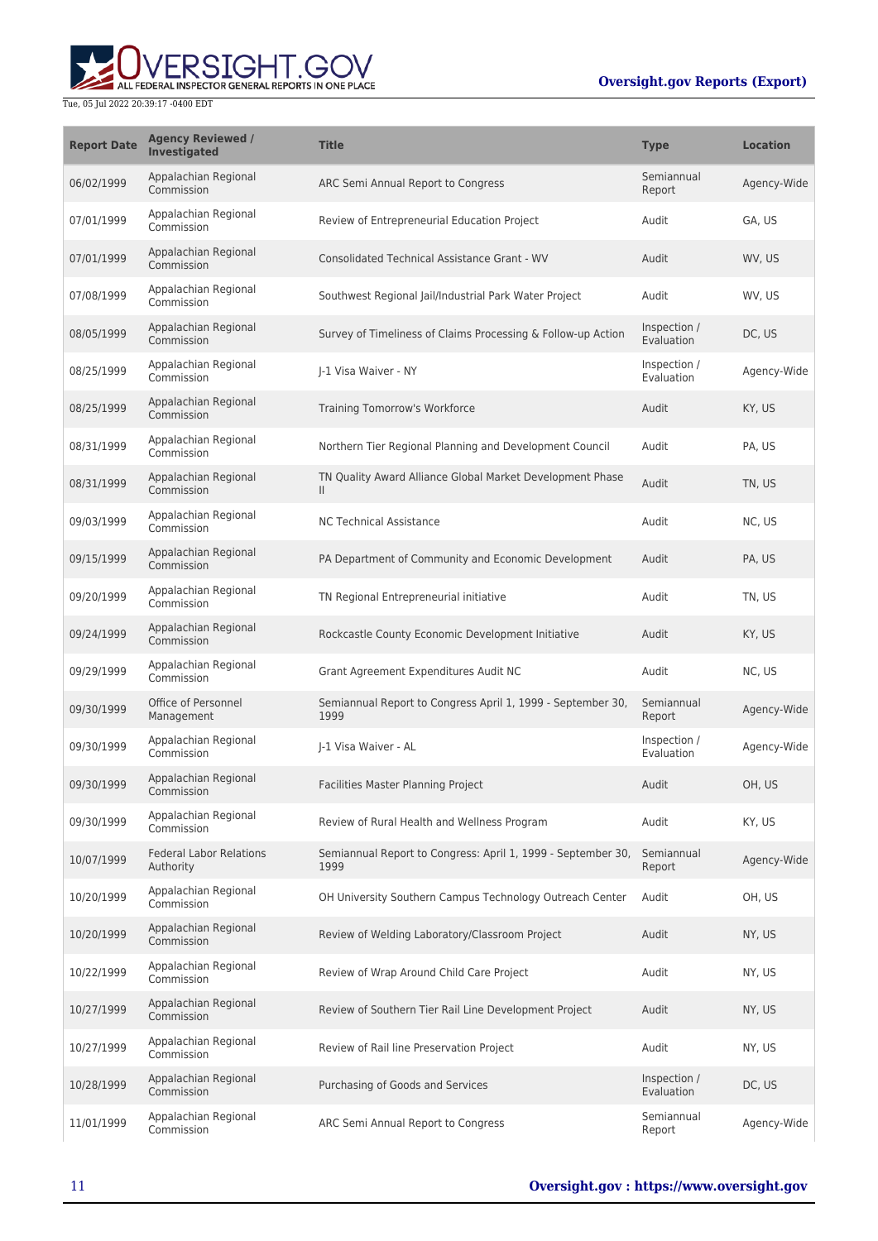

| <b>Report Date</b> | <b>Agency Reviewed /</b><br><b>Investigated</b> | <b>Title</b>                                                              | <b>Type</b>                | <b>Location</b> |
|--------------------|-------------------------------------------------|---------------------------------------------------------------------------|----------------------------|-----------------|
| 06/02/1999         | Appalachian Regional<br>Commission              | ARC Semi Annual Report to Congress                                        | Semiannual<br>Report       | Agency-Wide     |
| 07/01/1999         | Appalachian Regional<br>Commission              | Review of Entrepreneurial Education Project                               | Audit                      | GA, US          |
| 07/01/1999         | Appalachian Regional<br>Commission              | <b>Consolidated Technical Assistance Grant - WV</b>                       | Audit                      | WV, US          |
| 07/08/1999         | Appalachian Regional<br>Commission              | Southwest Regional Jail/Industrial Park Water Project                     | Audit                      | WV, US          |
| 08/05/1999         | Appalachian Regional<br>Commission              | Survey of Timeliness of Claims Processing & Follow-up Action              | Inspection /<br>Evaluation | DC, US          |
| 08/25/1999         | Appalachian Regional<br>Commission              | J-1 Visa Waiver - NY                                                      | Inspection /<br>Evaluation | Agency-Wide     |
| 08/25/1999         | Appalachian Regional<br>Commission              | Training Tomorrow's Workforce                                             | Audit                      | KY, US          |
| 08/31/1999         | Appalachian Regional<br>Commission              | Northern Tier Regional Planning and Development Council                   | Audit                      | PA, US          |
| 08/31/1999         | Appalachian Regional<br>Commission              | TN Quality Award Alliance Global Market Development Phase<br>$\mathbf{H}$ | Audit                      | TN, US          |
| 09/03/1999         | Appalachian Regional<br>Commission              | <b>NC Technical Assistance</b>                                            | Audit                      | NC, US          |
| 09/15/1999         | Appalachian Regional<br>Commission              | PA Department of Community and Economic Development                       | Audit                      | PA, US          |
| 09/20/1999         | Appalachian Regional<br>Commission              | TN Regional Entrepreneurial initiative                                    | Audit                      | TN, US          |
| 09/24/1999         | Appalachian Regional<br>Commission              | Rockcastle County Economic Development Initiative                         | Audit                      | KY, US          |
| 09/29/1999         | Appalachian Regional<br>Commission              | Grant Agreement Expenditures Audit NC                                     | Audit                      | NC, US          |
| 09/30/1999         | Office of Personnel<br>Management               | Semiannual Report to Congress April 1, 1999 - September 30,<br>1999       | Semiannual<br>Report       | Agency-Wide     |
| 09/30/1999         | Appalachian Regional<br>Commission              | J-1 Visa Waiver - AL                                                      | Inspection /<br>Evaluation | Agency-Wide     |
| 09/30/1999         | Appalachian Regional<br>Commission              | Facilities Master Planning Project                                        | Audit                      | OH, US          |
| 09/30/1999         | Appalachian Regional<br>Commission              | Review of Rural Health and Wellness Program                               | Audit                      | KY, US          |
| 10/07/1999         | <b>Federal Labor Relations</b><br>Authority     | Semiannual Report to Congress: April 1, 1999 - September 30,<br>1999      | Semiannual<br>Report       | Agency-Wide     |
| 10/20/1999         | Appalachian Regional<br>Commission              | OH University Southern Campus Technology Outreach Center                  | Audit                      | OH, US          |
| 10/20/1999         | Appalachian Regional<br>Commission              | Review of Welding Laboratory/Classroom Project                            | Audit                      | NY, US          |
| 10/22/1999         | Appalachian Regional<br>Commission              | Review of Wrap Around Child Care Project                                  | Audit                      | NY, US          |
| 10/27/1999         | Appalachian Regional<br>Commission              | Review of Southern Tier Rail Line Development Project                     | Audit                      | NY, US          |
| 10/27/1999         | Appalachian Regional<br>Commission              | Review of Rail line Preservation Project                                  | Audit                      | NY, US          |
| 10/28/1999         | Appalachian Regional<br>Commission              | Purchasing of Goods and Services                                          | Inspection /<br>Evaluation | DC, US          |
| 11/01/1999         | Appalachian Regional<br>Commission              | ARC Semi Annual Report to Congress                                        | Semiannual<br>Report       | Agency-Wide     |